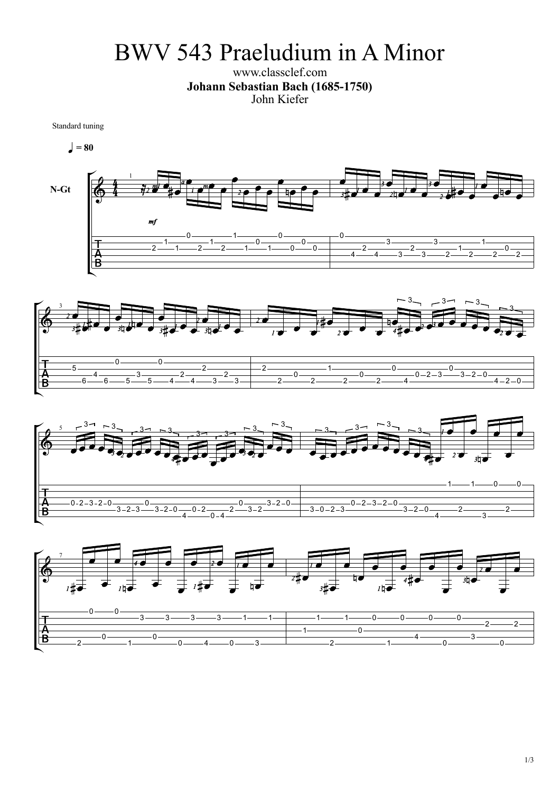## BWV 543 Praeludium in A Minor

www.classclef.com **Johann Sebastian Bach (1685-1750)** John Kiefer

Standard tuning









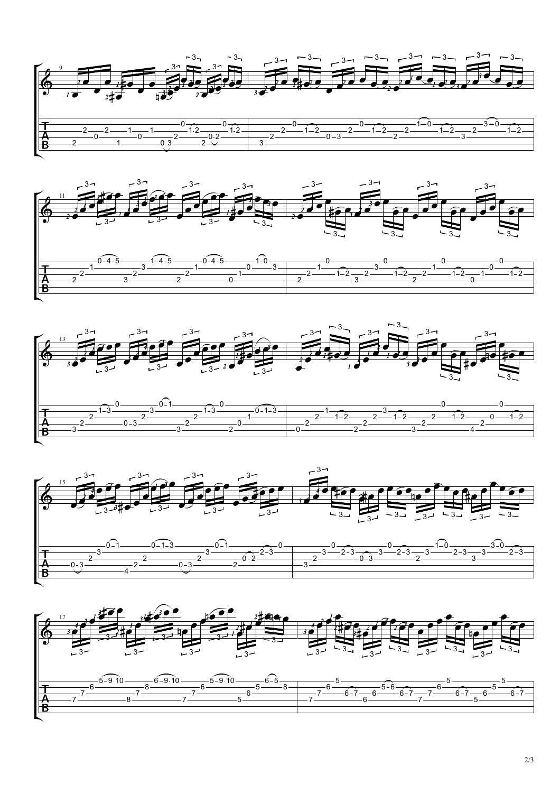